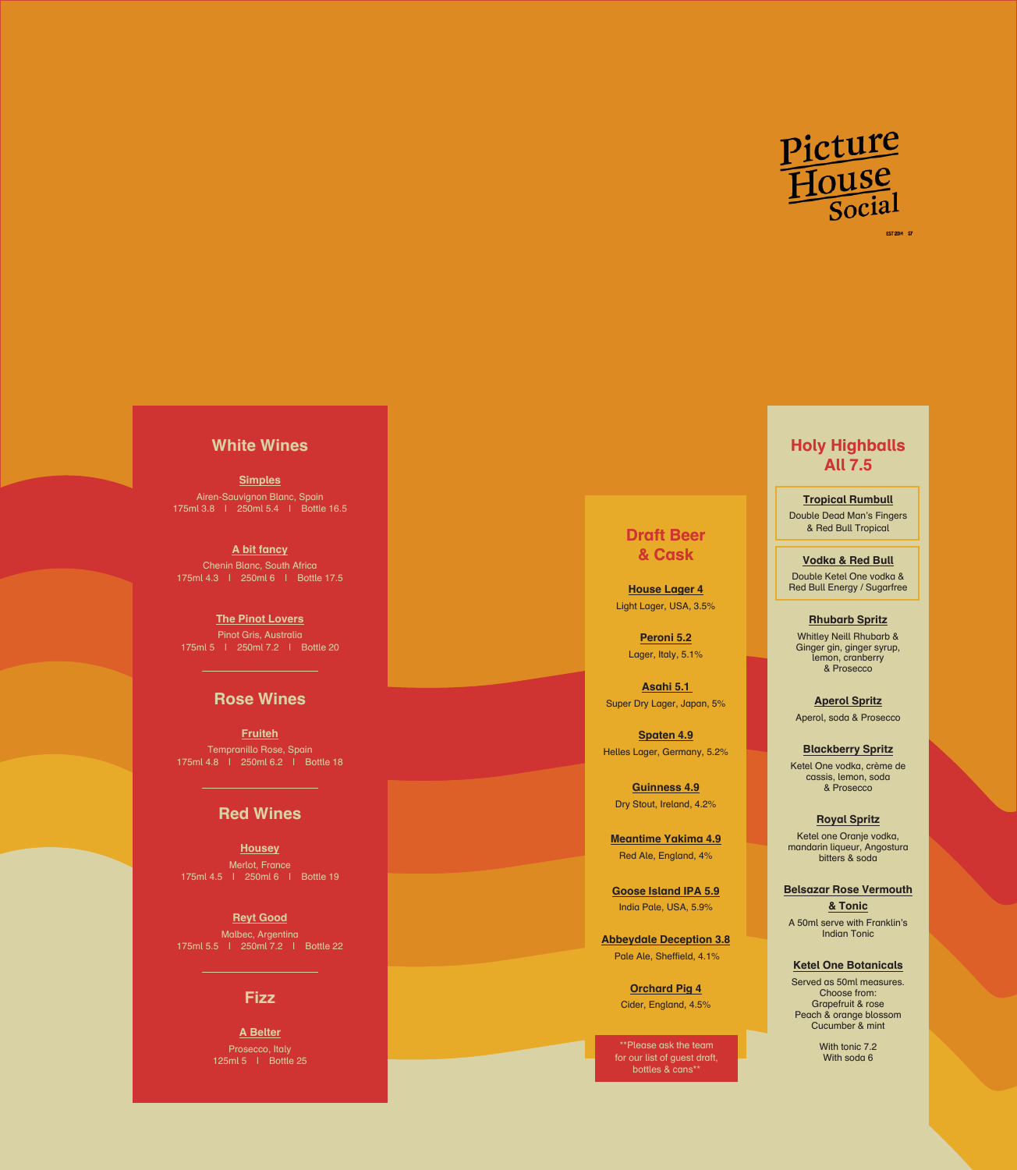

## White Wines

**Simples** Airen-Sauvignon Blanc, Spain 175ml 3.8 | 250ml 5.4 | Bottle 16.5

A bit fancy Chenin Blanc, South Africa 175ml 4.3 | 250ml 6 | Bottle 17.5

**The Pinot Lovers** Pinot Gris, Australia 175ml 5 | 250ml 7.2 | Bottle 20

### Rose Wines

**Fruiteh** Tempranillo Rose, Spain 175ml 4.8 | 250ml 6.2 | Bottle 18

### Red Wines

**Housey** Merlot, France 175ml 4.5 | 250ml 6 | Bottle 19

**Reyt Good** Malbec, Argentina 175ml 5.5 | 250ml 7.2 | Bottle 22

#### **Fizz**

A Belter Prosecco, Italy 125ml 5 | Bottle 25

## Draft Beer & Cask

House Lager 4 Light Lager, USA, 3.5%

> Peroni 5.2 Lager, Italy, 5.1%

Asahi 5.1 Super Dry Lager, Japan, 5%

Spaten 4.9 Helles Lager, Germany, 5.2%

Guinness 4.9 Dry Stout, Ireland, 4.2%

Meantime Yakima 4.9 Red Ale, England, 4%

Goose Island IPA 5.9 India Pale, USA, 5.9%

Abbeydale Deception 3.8 Pale Ale, Sheffield, 4.1%

> Orchard Pig 4 Cider, England, 4.5%

\*\*Please ask the team for our list of guest draft, bottles & cans\*\*

# Holy Highballs All 7.5

Tropical Rumbull Double Dead Man's Fingers & Red Bull Tropical

Vodka & Red Bull

Double Ketel One vodka & Red Bull Energy / Sugarfree

Rhubarb Spritz Whitley Neill Rhubarb & Ginger gin, ginger syrup, lemon, cranberry & Prosecco

Aperol Spritz Aperol, soda & Prosecco

Blackberry Spritz Ketel One vodka, crème de cassis, lemon, soda & Prosecco

Royal Spritz Ketel one Oranje vodka, mandarin liqueur, Angostura bitters & soda

Belsazar Rose Vermouth & Tonic A 50ml serve with Franklin's

Indian Tonic

Ketel One Botanicals

Served as 50ml measures. Choose from: Grapefruit & rose Peach & orange blossom Cucumber & mint

> With tonic **7.2** With soda 6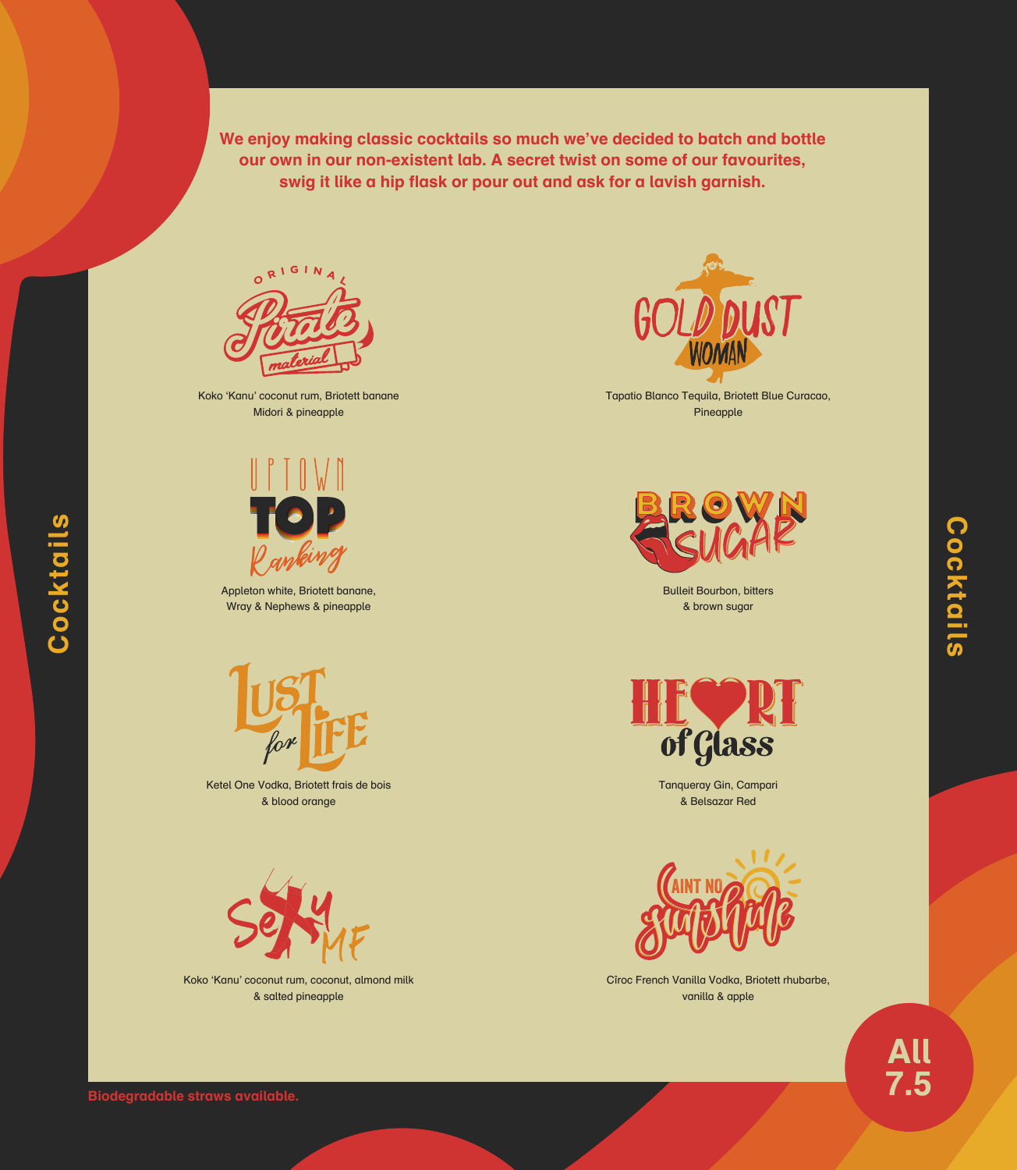We enjoy making classic cocktails so much we've decided to batch and bottle our own in our non-existent lab. A secret twist on some of our favourites, swig it like a hip flask or pour out and ask for a lavish garnish.



Koko 'Kanu' coconut rum, Briotett banane Midori & pineapple



Appleton white, Briotett banane, Wray & Nephews & pineapple



Ketel One Vodka, Briotett frais de bois & blood orange



Koko 'Kanu' coconut rum, coconut, almond milk & salted pineapple



Tapatio Blanco Tequila, Briotett Blue Curacao, Pineapple



Bulleit Bourbon, bitters & brown sugar



Tanqueray Gin, Campari & Belsazar Red



Cîroc French Vanilla Vodka, Briotett rhubarbe, vanilla & apple

**All**<br>7.5



Cocktails

Cocktails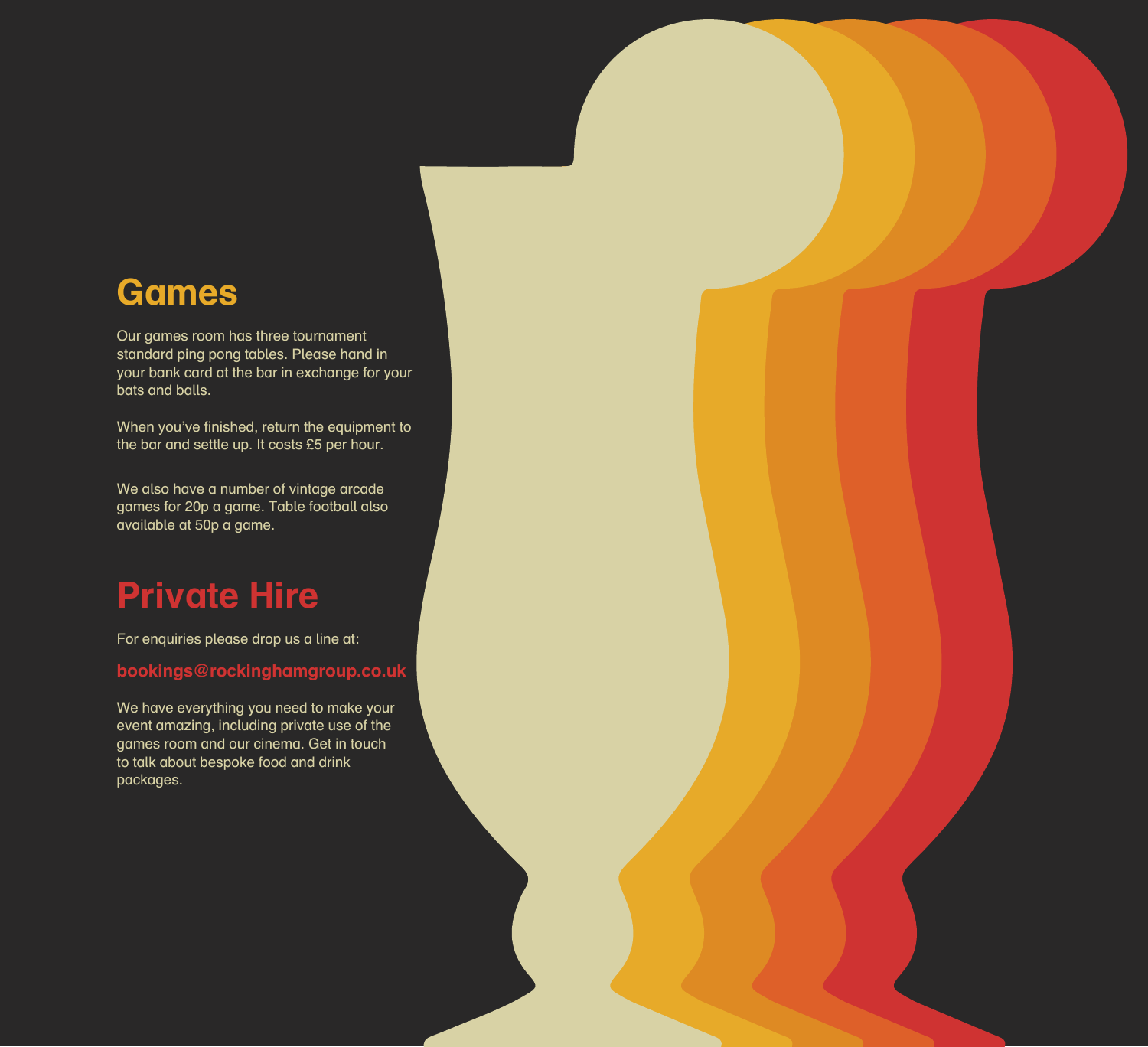# Games

Our games room has three tournament standard ping pong tables. Please hand in your bank card at the bar in exchange for your bats and balls.

When you've finished, return the equipment to the bar and settle up. It costs £5 per hour.

We also have a number of vintage arcade games for 20p a game. Table football also available at 50p a game.

# Private Hire

For enquiries please drop us a line at:

bookings@rockinghamgroup.co.uk

We have everything you need to make your event amazing, including private use of the games room and our cinema. Get in touch to talk about bespoke food and drink packages.